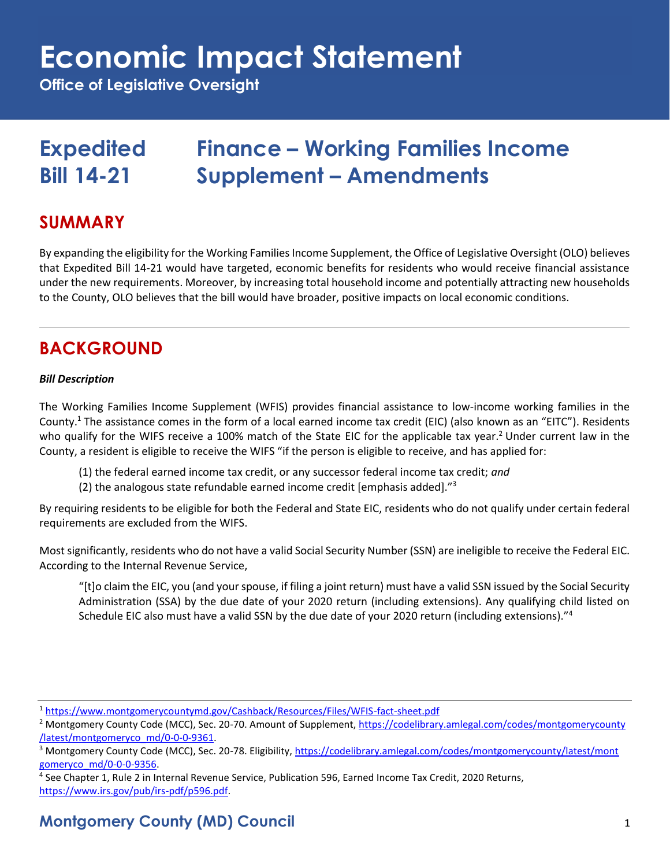**Office of Legislative Oversight**

### **Expedited Finance – Working Families Income Bill 14-21 Supplement – Amendments**

### **SUMMARY**

By expanding the eligibility for the Working Families Income Supplement, the Office of Legislative Oversight (OLO) believes that Expedited Bill 14-21 would have targeted, economic benefits for residents who would receive financial assistance under the new requirements. Moreover, by increasing total household income and potentially attracting new households to the County, OLO believes that the bill would have broader, positive impacts on local economic conditions.

### **BACKGROUND**

#### *Bill Description*

The Working Families Income Supplement (WFIS) provides financial assistance to low-income working families in the County.<sup>1</sup> The assistance comes in the form of a local earned income tax credit (EIC) (also known as an "EITC"). Residents who qualify for the WIFS receive a 100% match of the State EIC for the applicable tax year.<sup>2</sup> Under current law in the County, a resident is eligible to receive the WIFS "if the person is eligible to receive, and has applied for:

- (1) the federal earned income tax credit, or any successor federal income tax credit; *and*
- (2) the analogous state refundable earned income credit [emphasis added]."<sup>3</sup>

By requiring residents to be eligible for both the Federal and State EIC, residents who do not qualify under certain federal requirements are excluded from the WIFS.

Most significantly, residents who do not have a valid Social Security Number (SSN) are ineligible to receive the Federal EIC. According to the Internal Revenue Service,

"[t]o claim the EIC, you (and your spouse, if filing a joint return) must have a valid SSN issued by the Social Security Administration (SSA) by the due date of your 2020 return (including extensions). Any qualifying child listed on Schedule EIC also must have a valid SSN by the due date of your 2020 return (including extensions)."<sup>4</sup>

4 See Chapter 1, Rule 2 in Internal Revenue Service, Publication 596, Earned Income Tax Credit, 2020 Returns, [https://www.irs.gov/pub/irs-pdf/p596.pdf.](https://www.irs.gov/pub/irs-pdf/p596.pdf) 

### **Montgomery County (MD) Council** 1

<sup>1</sup> <https://www.montgomerycountymd.gov/Cashback/Resources/Files/WFIS-fact-sheet.pdf>

<sup>2</sup> Montgomery County Code (MCC), Sec. 20-70. Amount of Supplement, [https://codelibrary.amlegal.com/codes/montgomerycounty](https://codelibrary.amlegal.com/codes/montgomerycounty/latest/montgomeryco_md/0-0-0-9361) [/latest/montgomeryco\\_md/0-0-0-9361.](https://codelibrary.amlegal.com/codes/montgomerycounty/latest/montgomeryco_md/0-0-0-9361) 

<sup>&</sup>lt;sup>3</sup> Montgomery County Code (MCC), Sec. 20-78. Eligibility[, https://codelibrary.amlegal.com/codes/montgomerycounty/latest/mont](https://codelibrary.amlegal.com/codes/montgomerycounty/latest/montgomeryco_md/0-0-0-9356) [gomeryco\\_md/0-0-0-9356.](https://codelibrary.amlegal.com/codes/montgomerycounty/latest/montgomeryco_md/0-0-0-9356)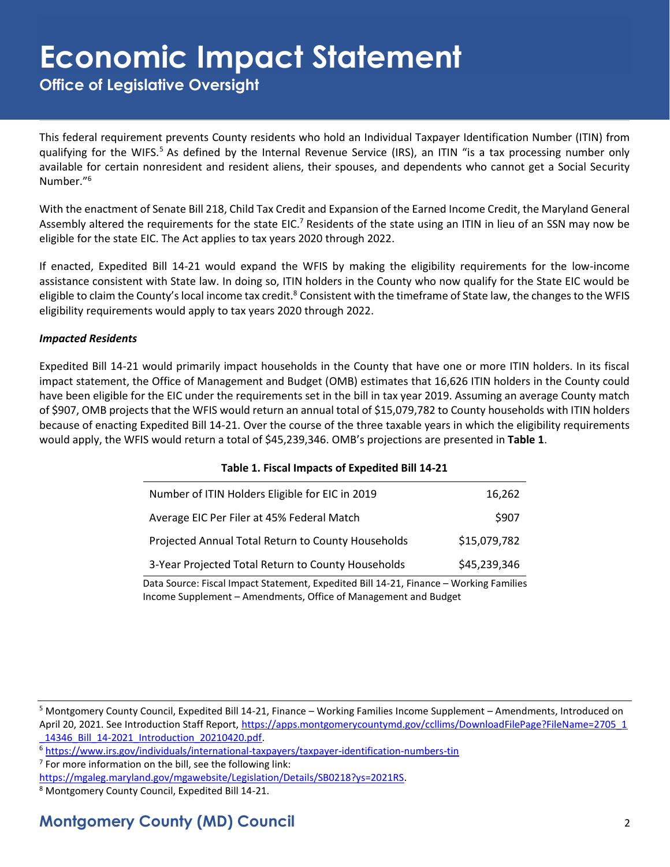**Office of Legislative Oversight**

This federal requirement prevents County residents who hold an Individual Taxpayer Identification Number (ITIN) from qualifying for the WIFS.<sup>5</sup> As defined by the Internal Revenue Service (IRS), an ITIN "is a tax processing number only available for certain nonresident and resident aliens, their spouses, and dependents who cannot get a Social Security Number."<sup>6</sup>

With the enactment of Senate Bill 218, Child Tax Credit and Expansion of the Earned Income Credit, the Maryland General Assembly altered the requirements for the state EIC.<sup>7</sup> Residents of the state using an ITIN in lieu of an SSN may now be eligible for the state EIC. The Act applies to tax years 2020 through 2022.

If enacted, Expedited Bill 14-21 would expand the WFIS by making the eligibility requirements for the low-income assistance consistent with State law. In doing so, ITIN holders in the County who now qualify for the State EIC would be eligible to claim the County's local income tax credit. $8$  Consistent with the timeframe of State law, the changes to the WFIS eligibility requirements would apply to tax years 2020 through 2022.

#### *Impacted Residents*

Expedited Bill 14-21 would primarily impact households in the County that have one or more ITIN holders. In its fiscal impact statement, the Office of Management and Budget (OMB) estimates that 16,626 ITIN holders in the County could have been eligible for the EIC under the requirements set in the bill in tax year 2019. Assuming an average County match of \$907, OMB projects that the WFIS would return an annual total of \$15,079,782 to County households with ITIN holders because of enacting Expedited Bill 14-21. Over the course of the three taxable years in which the eligibility requirements would apply, the WFIS would return a total of \$45,239,346. OMB's projections are presented in **Table 1**.

| Table 1. Fiscal Impacts of Expedited Bill 14-21                                                                                                           |              |
|-----------------------------------------------------------------------------------------------------------------------------------------------------------|--------------|
| Number of ITIN Holders Eligible for EIC in 2019                                                                                                           | 16,262       |
| Average EIC Per Filer at 45% Federal Match                                                                                                                | \$907        |
| Projected Annual Total Return to County Households                                                                                                        | \$15,079,782 |
| 3-Year Projected Total Return to County Households                                                                                                        | \$45,239,346 |
| Data Source: Fiscal Impact Statement, Expedited Bill 14-21, Finance - Working Families<br>Income Supplement - Amendments, Office of Management and Budget |              |

#### **Table 1. Fiscal Impacts of Expedited Bill 14-21**

<sup>5</sup> Montgomery County Council, Expedited Bill 14-21, Finance – Working Families Income Supplement – Amendments, Introduced on April 20, 2021. See Introduction Staff Report, [https://apps.montgomerycountymd.gov/ccllims/DownloadFilePage?FileName=2705\\_1](https://apps.montgomerycountymd.gov/ccllims/DownloadFilePage?FileName=2705_1_14346_Bill_14-2021_Introduction_20210420.pdf)

[\\_14346\\_Bill\\_14-2021\\_Introduction\\_20210420.pdf.](https://apps.montgomerycountymd.gov/ccllims/DownloadFilePage?FileName=2705_1_14346_Bill_14-2021_Introduction_20210420.pdf) 

<sup>6</sup> <https://www.irs.gov/individuals/international-taxpayers/taxpayer-identification-numbers-tin>

 $7$  For more information on the bill, see the following link:

[https://mgaleg.maryland.gov/mgawebsite/Legislation/Details/SB0218?ys=2021RS.](https://mgaleg.maryland.gov/mgawebsite/Legislation/Details/SB0218?ys=2021RS) 

<sup>8</sup> Montgomery County Council, Expedited Bill 14-21.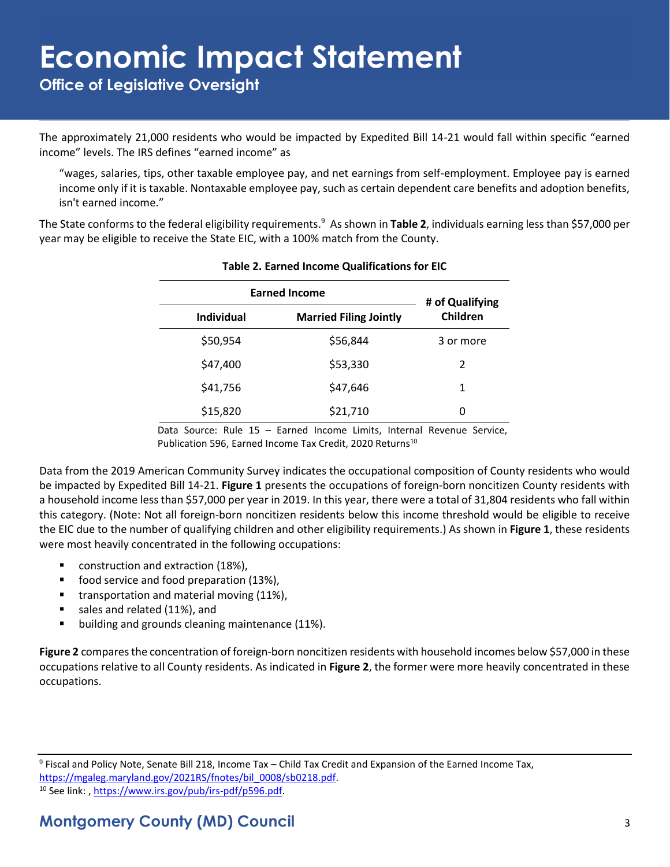**Office of Legislative Oversight**

The approximately 21,000 residents who would be impacted by Expedited Bill 14-21 would fall within specific "earned income" levels. The IRS defines "earned income" as

"wages, salaries, tips, other taxable employee pay, and net earnings from self-employment. Employee pay is earned income only if it is taxable. Nontaxable employee pay, such as certain dependent care benefits and adoption benefits, isn't earned income."

The State conforms to the federal eligibility requirements. <sup>9</sup> As shown in **Table 2**, individuals earning less than \$57,000 per year may be eligible to receive the State EIC, with a 100% match from the County.

| <b>Earned Income</b> |                               | # of Qualifying |  |
|----------------------|-------------------------------|-----------------|--|
| <b>Individual</b>    | <b>Married Filing Jointly</b> | Children        |  |
| \$50,954             | \$56,844                      | 3 or more       |  |
| \$47,400             | \$53,330                      | $\mathfrak{p}$  |  |
| \$41,756             | \$47,646                      | 1               |  |
| \$15,820             | \$21,710                      | 0               |  |

#### **Table 2. Earned Income Qualifications for EIC**

Data Source: Rule 15 – Earned Income Limits, Internal Revenue Service, Publication 596, Earned Income Tax Credit, 2020 Returns<sup>10</sup>

Data from the 2019 American Community Survey indicates the occupational composition of County residents who would be impacted by Expedited Bill 14-21. **Figure 1** presents the occupations of foreign-born noncitizen County residents with a household income less than \$57,000 per year in 2019. In this year, there were a total of 31,804 residents who fall within this category. (Note: Not all foreign-born noncitizen residents below this income threshold would be eligible to receive the EIC due to the number of qualifying children and other eligibility requirements.) As shown in **Figure 1**, these residents were most heavily concentrated in the following occupations:

- construction and extraction (18%),
- food service and food preparation (13%),
- transportation and material moving (11%),
- sales and related (11%), and
- building and grounds cleaning maintenance (11%).

**Figure 2** compares the concentration of foreign-born noncitizen residents with household incomes below \$57,000 in these occupations relative to all County residents. As indicated in **Figure 2**, the former were more heavily concentrated in these occupations.

9 Fiscal and Policy Note, Senate Bill 218, Income Tax – Child Tax Credit and Expansion of the Earned Income Tax, [https://mgaleg.maryland.gov/2021RS/fnotes/bil\\_0008/sb0218.pdf.](https://mgaleg.maryland.gov/2021RS/fnotes/bil_0008/sb0218.pdf)

<sup>&</sup>lt;sup>10</sup> See link:[, https://www.irs.gov/pub/irs-pdf/p596.pdf.](https://www.irs.gov/pub/irs-pdf/p596.pdf)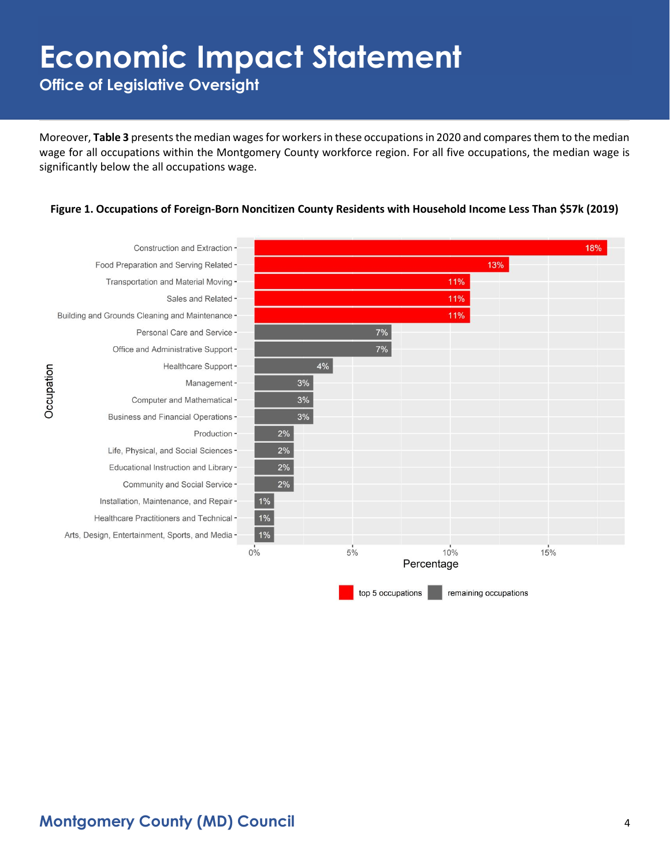**Office of Legislative Oversight**

Moreover, **Table 3** presents the median wages for workers in these occupations in 2020 and compares them to the median wage for all occupations within the Montgomery County workforce region. For all five occupations, the median wage is significantly below the all occupations wage.

#### **Figure 1. Occupations of Foreign-Born Noncitizen County Residents with Household Income Less Than \$57k (2019)**

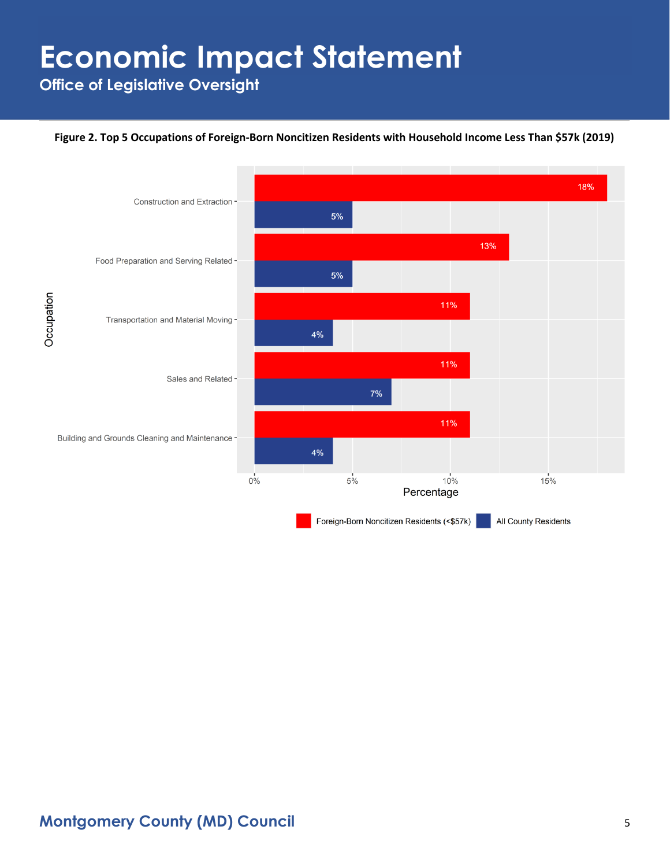**Office of Legislative Oversight**

#### **Figure 2. Top 5 Occupations of Foreign-Born Noncitizen Residents with Household Income Less Than \$57k (2019)**

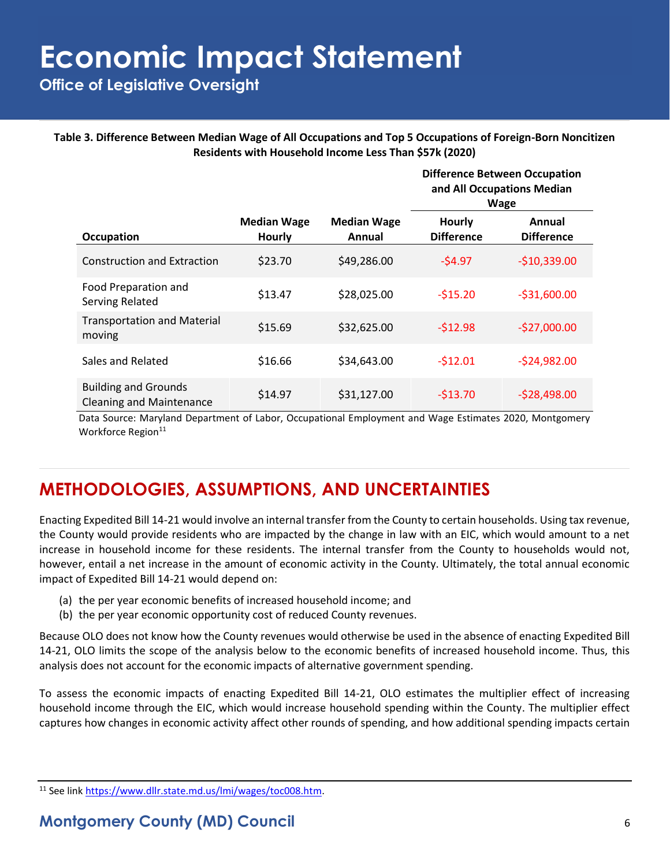**Office of Legislative Oversight**

**Table 3. Difference Between Median Wage of All Occupations and Top 5 Occupations of Foreign-Born Noncitizen Residents with Household Income Less Than \$57k (2020)**

|                                                                |                                     |                              |                                    | <b>Difference Between Occupation</b><br>and All Occupations Median<br><b>Wage</b> |  |
|----------------------------------------------------------------|-------------------------------------|------------------------------|------------------------------------|-----------------------------------------------------------------------------------|--|
| <b>Occupation</b>                                              | <b>Median Wage</b><br><b>Hourly</b> | <b>Median Wage</b><br>Annual | <b>Hourly</b><br><b>Difference</b> | Annual<br><b>Difference</b>                                                       |  |
| <b>Construction and Extraction</b>                             | \$23.70                             | \$49,286.00                  | $-54.97$                           | $-$10,339.00$                                                                     |  |
| Food Preparation and<br>Serving Related                        | \$13.47                             | \$28,025.00                  | $-515.20$                          | $-531,600.00$                                                                     |  |
| <b>Transportation and Material</b><br>moving                   | \$15.69                             | \$32,625.00                  | $-512.98$                          | $-$27,000.00$                                                                     |  |
| Sales and Related                                              | \$16.66                             | \$34,643.00                  | $-512.01$                          | $-524,982.00$                                                                     |  |
| <b>Building and Grounds</b><br><b>Cleaning and Maintenance</b> | \$14.97                             | \$31,127.00                  | $-513.70$                          | $-528,498.00$                                                                     |  |

Data Source: Maryland Department of Labor, Occupational Employment and Wage Estimates 2020, Montgomery Workforce Region<sup>11</sup>

### **METHODOLOGIES, ASSUMPTIONS, AND UNCERTAINTIES**

Enacting Expedited Bill 14-21 would involve an internal transfer from the County to certain households. Using tax revenue, the County would provide residents who are impacted by the change in law with an EIC, which would amount to a net increase in household income for these residents. The internal transfer from the County to households would not, however, entail a net increase in the amount of economic activity in the County. Ultimately, the total annual economic impact of Expedited Bill 14-21 would depend on:

- (a) the per year economic benefits of increased household income; and
- (b) the per year economic opportunity cost of reduced County revenues.

Because OLO does not know how the County revenues would otherwise be used in the absence of enacting Expedited Bill 14-21, OLO limits the scope of the analysis below to the economic benefits of increased household income. Thus, this analysis does not account for the economic impacts of alternative government spending.

To assess the economic impacts of enacting Expedited Bill 14-21, OLO estimates the multiplier effect of increasing household income through the EIC, which would increase household spending within the County. The multiplier effect captures how changes in economic activity affect other rounds of spending, and how additional spending impacts certain

<sup>11</sup> See link [https://www.dllr.state.md.us/lmi/wages/toc008.htm.](https://www.dllr.state.md.us/lmi/wages/toc008.htm)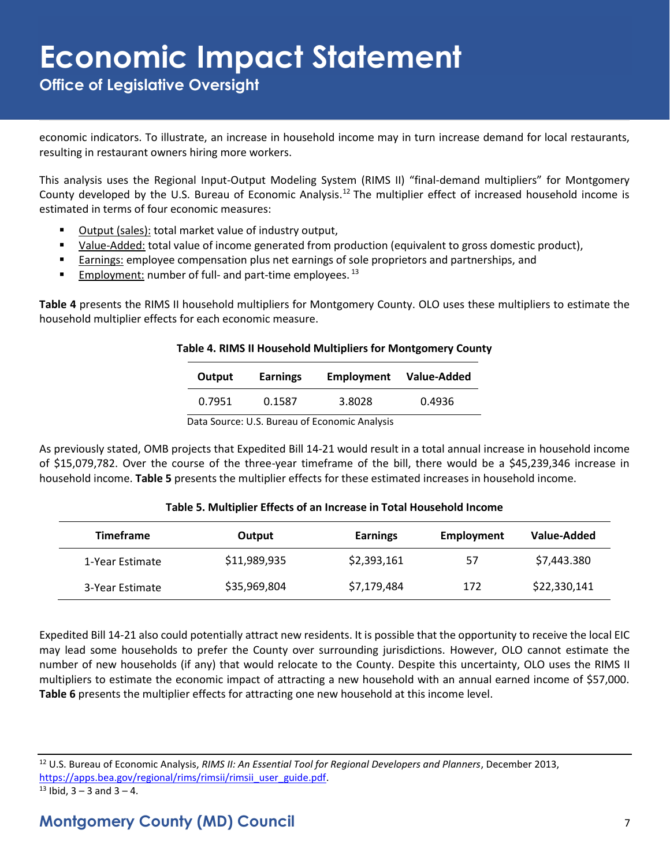**Office of Legislative Oversight**

economic indicators. To illustrate, an increase in household income may in turn increase demand for local restaurants, resulting in restaurant owners hiring more workers.

This analysis uses the Regional Input-Output Modeling System (RIMS II) "final-demand multipliers" for Montgomery County developed by the U.S. Bureau of Economic Analysis.<sup>12</sup> The multiplier effect of increased household income is estimated in terms of four economic measures:

- Output (sales): total market value of industry output,
- Value-Added: total value of income generated from production (equivalent to gross domestic product),
- Earnings: employee compensation plus net earnings of sole proprietors and partnerships, and
- **Employment:** number of full- and part-time employees.<sup>13</sup>

**Table 4** presents the RIMS II household multipliers for Montgomery County. OLO uses these multipliers to estimate the household multiplier effects for each economic measure.

| Table 4. RIMS II Household Multipliers for Montgomery County |  |
|--------------------------------------------------------------|--|
|--------------------------------------------------------------|--|

| Output | <b>Earnings</b> | <b>Employment</b> | Value-Added |
|--------|-----------------|-------------------|-------------|
| 0.7951 | 0.1587          | 3.8028            | 0.4936      |

Data Source: U.S. Bureau of Economic Analysis

As previously stated, OMB projects that Expedited Bill 14-21 would result in a total annual increase in household income of \$15,079,782. Over the course of the three-year timeframe of the bill, there would be a \$45,239,346 increase in household income. **Table 5** presents the multiplier effects for these estimated increases in household income.

#### **Table 5. Multiplier Effects of an Increase in Total Household Income**

| <b>Timeframe</b> | Output       | <b>Earnings</b> | Employment | Value-Added  |
|------------------|--------------|-----------------|------------|--------------|
| 1-Year Estimate  | \$11,989,935 | \$2,393,161     | 57         | \$7,443.380  |
| 3-Year Estimate  | \$35,969,804 | \$7,179,484     | 172        | \$22,330,141 |

Expedited Bill 14-21 also could potentially attract new residents. It is possible that the opportunity to receive the local EIC may lead some households to prefer the County over surrounding jurisdictions. However, OLO cannot estimate the number of new households (if any) that would relocate to the County. Despite this uncertainty, OLO uses the RIMS II multipliers to estimate the economic impact of attracting a new household with an annual earned income of \$57,000. **Table 6** presents the multiplier effects for attracting one new household at this income level.

<sup>12</sup> U.S. Bureau of Economic Analysis, *RIMS II: An Essential Tool for Regional Developers and Planners*, December 2013, [https://apps.bea.gov/regional/rims/rimsii/rimsii\\_user\\_guide.pdf.](https://apps.bea.gov/regional/rims/rimsii/rimsii_user_guide.pdf)

 $13$  Ibid,  $3 - 3$  and  $3 - 4$ .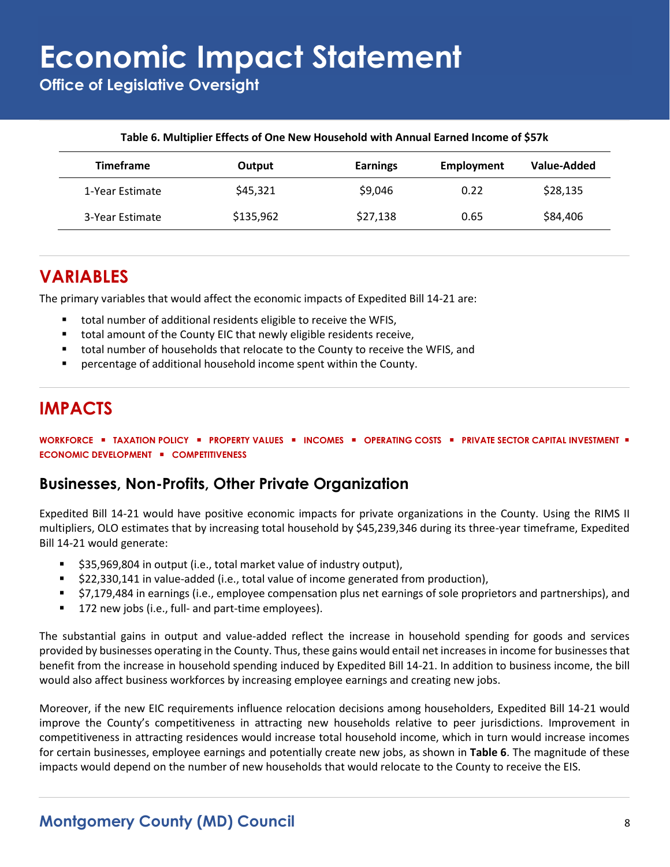**Office of Legislative Oversight**

| <b>Timeframe</b> | Output    | <b>Earnings</b> | <b>Employment</b> | Value-Added |
|------------------|-----------|-----------------|-------------------|-------------|
| 1-Year Estimate  | \$45,321  | \$9,046         | 0.22              | \$28,135    |
| 3-Year Estimate  | \$135,962 | \$27,138        | 0.65              | \$84,406    |

#### **Table 6. Multiplier Effects of One New Household with Annual Earned Income of \$57k**

### **VARIABLES**

The primary variables that would affect the economic impacts of Expedited Bill 14-21 are:

- total number of additional residents eligible to receive the WFIS,
- total amount of the County EIC that newly eligible residents receive,
- total number of households that relocate to the County to receive the WFIS, and
- percentage of additional household income spent within the County.

### **IMPACTS**

**WORKFORCE** ▪ **TAXATION POLICY** ▪ **PROPERTY VALUES** ▪ **INCOMES** ▪ **OPERATING COSTS** ▪ **PRIVATE SECTOR CAPITAL INVESTMENT** ▪ **ECONOMIC DEVELOPMENT** ▪ **COMPETITIVENESS**

#### **Businesses, Non-Profits, Other Private Organization**

Expedited Bill 14-21 would have positive economic impacts for private organizations in the County. Using the RIMS II multipliers, OLO estimates that by increasing total household by \$45,239,346 during its three-year timeframe, Expedited Bill 14-21 would generate:

- \$35,969,804 in output (i.e., total market value of industry output),
- \$22,330,141 in value-added (i.e., total value of income generated from production),
- \$7,179,484 in earnings (i.e., employee compensation plus net earnings of sole proprietors and partnerships), and
- 172 new jobs (i.e., full- and part-time employees).

The substantial gains in output and value-added reflect the increase in household spending for goods and services provided by businesses operating in the County. Thus, these gains would entail net increases in income for businesses that benefit from the increase in household spending induced by Expedited Bill 14-21. In addition to business income, the bill would also affect business workforces by increasing employee earnings and creating new jobs.

Moreover, if the new EIC requirements influence relocation decisions among householders, Expedited Bill 14-21 would improve the County's competitiveness in attracting new households relative to peer jurisdictions. Improvement in competitiveness in attracting residences would increase total household income, which in turn would increase incomes for certain businesses, employee earnings and potentially create new jobs, as shown in **Table 6**. The magnitude of these impacts would depend on the number of new households that would relocate to the County to receive the EIS.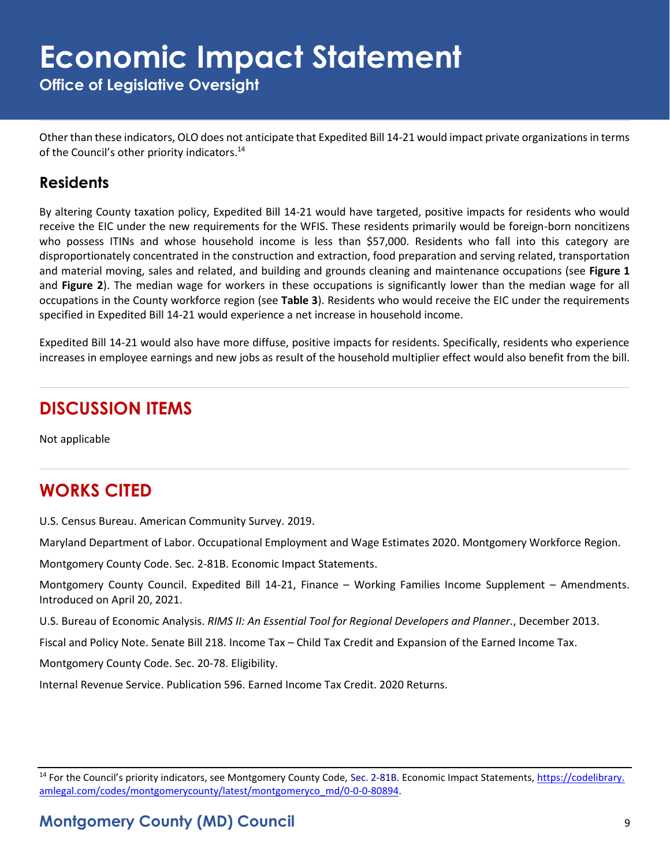**Office of Legislative Oversight**

Other than these indicators, OLO does not anticipate that Expedited Bill 14-21 would impact private organizations in terms of the Council's other priority indicators.<sup>14</sup>

#### **Residents**

By altering County taxation policy, Expedited Bill 14-21 would have targeted, positive impacts for residents who would receive the EIC under the new requirements for the WFIS. These residents primarily would be foreign-born noncitizens who possess ITINs and whose household income is less than \$57,000. Residents who fall into this category are disproportionately concentrated in the construction and extraction, food preparation and serving related, transportation and material moving, sales and related, and building and grounds cleaning and maintenance occupations (see **Figure 1** and **Figure 2**). The median wage for workers in these occupations is significantly lower than the median wage for all occupations in the County workforce region (see **Table 3**). Residents who would receive the EIC under the requirements specified in Expedited Bill 14-21 would experience a net increase in household income.

Expedited Bill 14-21 would also have more diffuse, positive impacts for residents. Specifically, residents who experience increases in employee earnings and new jobs as result of the household multiplier effect would also benefit from the bill.

### **DISCUSSION ITEMS**

Not applicable

### **WORKS CITED**

U.S. Census Bureau. American Community Survey. 2019.

Maryland Department of Labor. Occupational Employment and Wage Estimates 2020. Montgomery Workforce Region.

Montgomery County Code. Sec. 2-81B. Economic Impact Statements.

Montgomery County Council. Expedited Bill 14-21, Finance – Working Families Income Supplement – Amendments. Introduced on April 20, 2021.

U.S. Bureau of Economic Analysis. *RIMS II: An Essential Tool for Regional Developers and Planner.*, December 2013.

Fiscal and Policy Note. Senate Bill 218. Income Tax – Child Tax Credit and Expansion of the Earned Income Tax.

Montgomery County Code. Sec. 20-78. Eligibility.

Internal Revenue Service. Publication 596. Earned Income Tax Credit. 2020 Returns.

<sup>&</sup>lt;sup>14</sup> For the Council's priority indicators, see Montgomery County Code, Sec. 2-81B. Economic Impact Statements, [https://codelibrary.](https://codelibrary.amlegal.com/codes/montgomerycounty/latest/montgomeryco_md/0-0-0-80894) [amlegal.com/codes/montgomerycounty/latest/montgomeryco\\_md/0-0-0-80894.](https://codelibrary.amlegal.com/codes/montgomerycounty/latest/montgomeryco_md/0-0-0-80894)